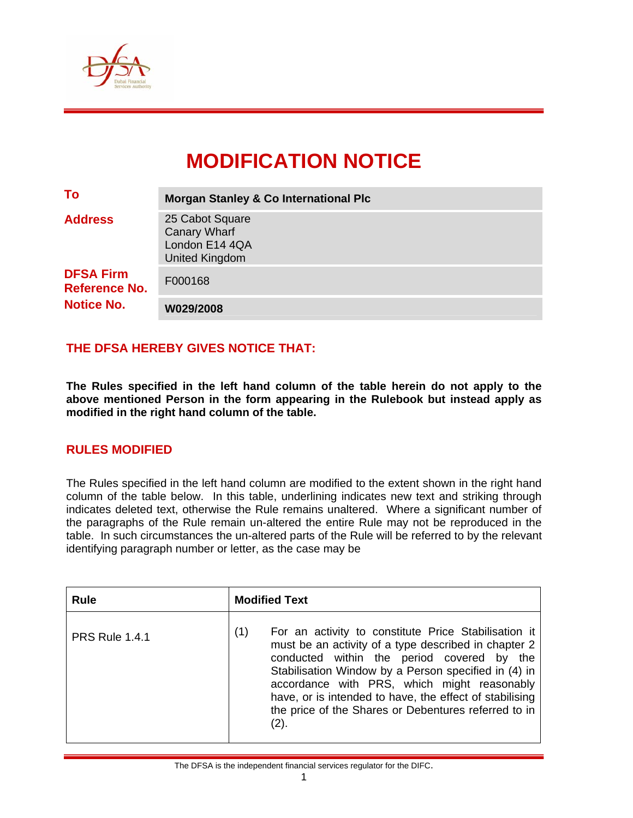

# **MODIFICATION NOTICE**

| To                                                                              | <b>Morgan Stanley &amp; Co International Plc</b>                           |  |  |  |
|---------------------------------------------------------------------------------|----------------------------------------------------------------------------|--|--|--|
| <b>Address</b><br><b>DFSA Firm</b><br><b>Reference No.</b><br><b>Notice No.</b> | 25 Cabot Square<br><b>Canary Wharf</b><br>London E14 4QA<br>United Kingdom |  |  |  |
|                                                                                 | F000168                                                                    |  |  |  |
|                                                                                 | W029/2008                                                                  |  |  |  |

## **THE DFSA HEREBY GIVES NOTICE THAT:**

**The Rules specified in the left hand column of the table herein do not apply to the above mentioned Person in the form appearing in the Rulebook but instead apply as modified in the right hand column of the table.** 

### **RULES MODIFIED**

The Rules specified in the left hand column are modified to the extent shown in the right hand column of the table below. In this table, underlining indicates new text and striking through indicates deleted text, otherwise the Rule remains unaltered. Where a significant number of the paragraphs of the Rule remain un-altered the entire Rule may not be reproduced in the table. In such circumstances the un-altered parts of the Rule will be referred to by the relevant identifying paragraph number or letter, as the case may be

| <b>Rule</b>           | <b>Modified Text</b>                                                                                                                                                                                                                                                                                                                                                                                |  |  |  |
|-----------------------|-----------------------------------------------------------------------------------------------------------------------------------------------------------------------------------------------------------------------------------------------------------------------------------------------------------------------------------------------------------------------------------------------------|--|--|--|
| <b>PRS Rule 1.4.1</b> | For an activity to constitute Price Stabilisation it<br>(1)<br>must be an activity of a type described in chapter 2<br>conducted within the period covered by the<br>Stabilisation Window by a Person specified in (4) in<br>accordance with PRS, which might reasonably<br>have, or is intended to have, the effect of stabilising<br>the price of the Shares or Debentures referred to in<br>(2). |  |  |  |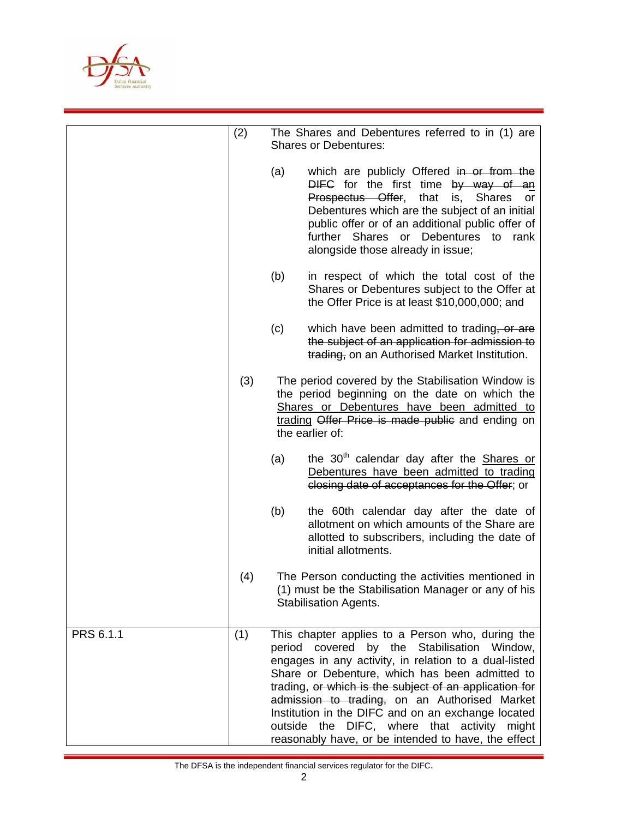

|           | (2) |     | The Shares and Debentures referred to in (1) are<br><b>Shares or Debentures:</b>                                                                                                                                                                                                                                                                                                                                                                                                     |
|-----------|-----|-----|--------------------------------------------------------------------------------------------------------------------------------------------------------------------------------------------------------------------------------------------------------------------------------------------------------------------------------------------------------------------------------------------------------------------------------------------------------------------------------------|
|           |     | (a) | which are publicly Offered in or from the<br>DIFC for the first time by way of an<br>Prospectus Offer, that<br><b>Shares</b><br>is,<br>or<br>Debentures which are the subject of an initial<br>public offer or of an additional public offer of<br>further Shares or Debentures to rank<br>alongside those already in issue;                                                                                                                                                         |
|           |     | (b) | in respect of which the total cost of the<br>Shares or Debentures subject to the Offer at<br>the Offer Price is at least \$10,000,000; and                                                                                                                                                                                                                                                                                                                                           |
|           |     | (c) | which have been admitted to trading, or are<br>the subject of an application for admission to<br>trading, on an Authorised Market Institution.                                                                                                                                                                                                                                                                                                                                       |
|           | (3) |     | The period covered by the Stabilisation Window is<br>the period beginning on the date on which the<br>Shares or Debentures have been admitted to<br>trading Offer Price is made public and ending on<br>the earlier of:                                                                                                                                                                                                                                                              |
|           |     | (a) | the 30 <sup>th</sup> calendar day after the <b>Shares or</b><br>Debentures have been admitted to trading<br>closing date of acceptances for the Offer; or                                                                                                                                                                                                                                                                                                                            |
|           |     | (b) | the 60th calendar day after the date of<br>allotment on which amounts of the Share are<br>allotted to subscribers, including the date of<br>initial allotments.                                                                                                                                                                                                                                                                                                                      |
|           | (4) |     | The Person conducting the activities mentioned in<br>(1) must be the Stabilisation Manager or any of his<br><b>Stabilisation Agents.</b>                                                                                                                                                                                                                                                                                                                                             |
| PRS 6.1.1 | (1) |     | This chapter applies to a Person who, during the<br>period covered<br>by the Stabilisation Window,<br>engages in any activity, in relation to a dual-listed<br>Share or Debenture, which has been admitted to<br>trading, or which is the subject of an application for<br>admission to trading, on an Authorised Market<br>Institution in the DIFC and on an exchange located<br>outside the DIFC, where that activity might<br>reasonably have, or be intended to have, the effect |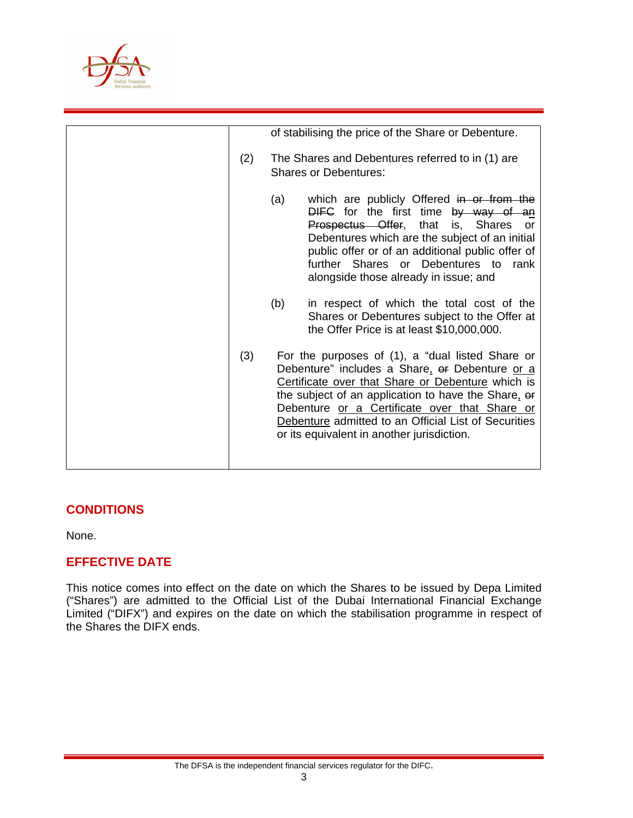

|     |                                                                                  | of stabilising the price of the Share or Debenture.                                                                                                                                                                                                                                                                                                                   |
|-----|----------------------------------------------------------------------------------|-----------------------------------------------------------------------------------------------------------------------------------------------------------------------------------------------------------------------------------------------------------------------------------------------------------------------------------------------------------------------|
| (2) | The Shares and Debentures referred to in (1) are<br><b>Shares or Debentures:</b> |                                                                                                                                                                                                                                                                                                                                                                       |
|     | (a)                                                                              | which are publicly Offered in or from the<br>DIFC for the first time by way of an<br><b>Prospectus Offer, that is, Shares or</b><br>Debentures which are the subject of an initial<br>public offer or of an additional public offer of<br>further Shares or Debentures to rank<br>alongside those already in issue; and                                               |
|     | (b)                                                                              | in respect of which the total cost of the<br>Shares or Debentures subject to the Offer at<br>the Offer Price is at least \$10,000,000.                                                                                                                                                                                                                                |
| (3) |                                                                                  | For the purposes of (1), a "dual listed Share or<br>Debenture" includes a Share, or Debenture or a<br>Certificate over that Share or Debenture which is<br>the subject of an application to have the Share. or<br>Debenture or a Certificate over that Share or<br>Debenture admitted to an Official List of Securities<br>or its equivalent in another jurisdiction. |

### **CONDITIONS**

None.

### **EFFECTIVE DATE**

This notice comes into effect on the date on which the Shares to be issued by Depa Limited ("Shares") are admitted to the Official List of the Dubai International Financial Exchange Limited ("DIFX") and expires on the date on which the stabilisation programme in respect of the Shares the DIFX ends.